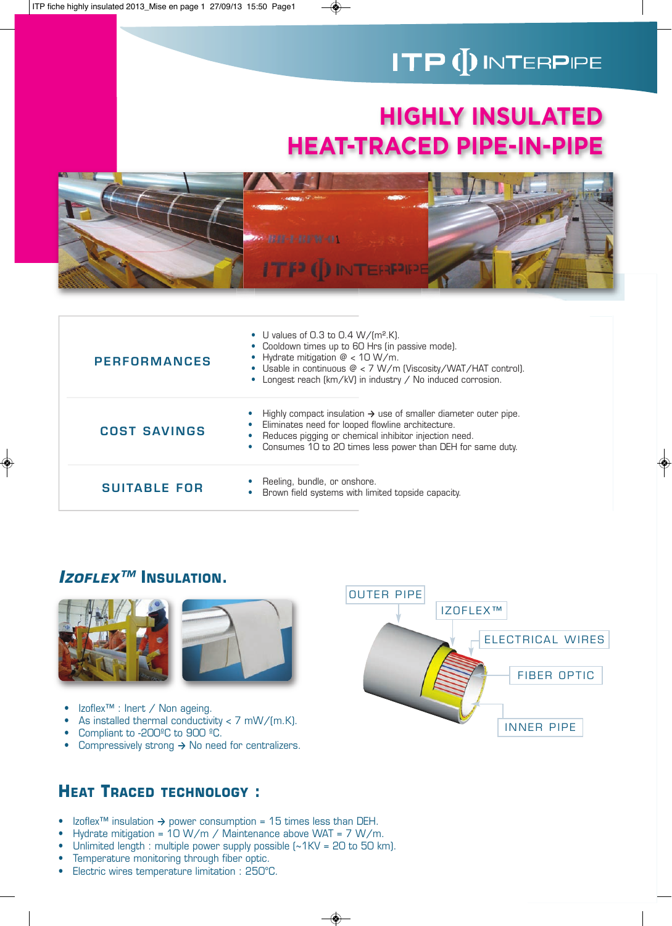# **ITP (DINTERPIPE**

# **HIGHLY INSULATED HEAT-TRACED PIPE-IN-PIPE**



| <b>PERFORMANCES</b> | • U values of 0.3 to 0.4 $W/(m^2.K)$ .<br>• Cooldown times up to 60 Hrs (in passive mode).<br>• Hydrate mitigation $@$ < 10 W/m.<br>• Usable in continuous $\mathcal{Q}$ < 7 W/m (Viscosity/WAT/HAT control).<br>• Longest reach (km/kV) in industry / No induced corrosion. |
|---------------------|------------------------------------------------------------------------------------------------------------------------------------------------------------------------------------------------------------------------------------------------------------------------------|
| <b>COST SAVINGS</b> | Highly compact insulation $\rightarrow$ use of smaller diameter outer pipe.<br>Eliminates need for looped flowline architecture.<br>Reduces pigging or chemical inhibitor injection need.<br>Consumes 10 to 20 times less power than DEH for same duty.                      |
| <b>SUITABLE FOR</b> | Reeling, bundle, or onshore.<br>Brown field systems with limited topside capacity.                                                                                                                                                                                           |

## **IZOFLEX™ INSULATION.**



- •Izoflex™ : Inert / Non ageing.
- •As installed thermal conductivity  $<$  7 mW/(m.K).
- •Compliant to -200ºC to 900 ºC.
- •Compressively strong **→** No need for centralizers.

## **HEAT TRACED TECHNOLOGY :**

- Izoflex™ insulation **→** power consumption = 15 times less than DEH.
- Hydrate mitigation =  $10 W/m /$  Maintenance above WAT = 7 W/m.
- Unlimited length : multiple power supply possible  $\left[\sim 1 \text{KV} = 20 \text{ to } 50 \text{ km}\right]$ .
- Temperature monitoring through fiber optic.
- Electric wires temperature limitation : 250°C.